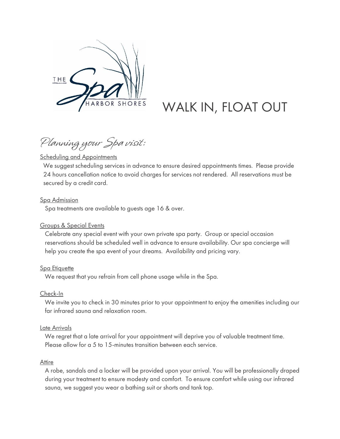

# WALK IN, FLOAT OUT

Planning your Spa visit:

#### **Scheduling and Appointments**

We suggest scheduling services in advance to ensure desired appointments times. Please provide 24 hours cancellation notice to avoid charges for services not rendered. All reservations must be secured by a credit card.

#### Spa Admission

Spa treatments are available to guests age 16 & over.

#### Groups & Special Events

Celebrate any special event with your own private spa party. Group or special occasion reservations should be scheduled well in advance to ensure availability. Our spa concierge will help you create the spa event of your dreams. Availability and pricing vary.

#### **Spa Etiquette**

We request that you refrain from cell phone usage while in the Spa.

#### Check-In

We invite you to check in 30 minutes prior to your appointment to enjoy the amenities including our far infrared sauna and relaxation room.

#### Late Arrivals

We regret that a late arrival for your appointment will deprive you of valuable treatment time. Please allow for a 5 to 15-minutes transition between each service.

#### **Attire**

A robe, sandals and a locker will be provided upon your arrival. You will be professionally draped during your treatment to ensure modesty and comfort. To ensure comfort while using our infrared sauna, we suggest you wear a bathing suit or shorts and tank top.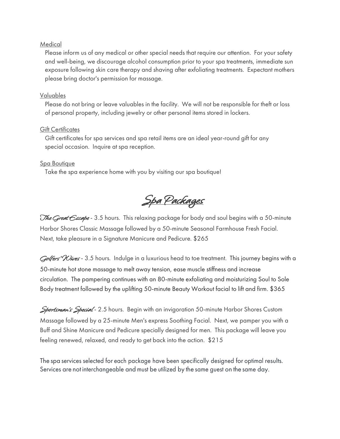#### **Medical**

Please inform us of any medical or other special needs that require our attention. For your safety and well-being, we discourage alcohol consumption prior to your spa treatments, immediate sun exposure following skin care therapy and shaving after exfoliating treatments. Expectant mothers please bring doctor's permission for massage.

#### Valuables

Please do not bring or leave valuables in the facility. We will not be responsible for theft or loss of personal property, including jewelry or other personal items stored in lockers.

#### Gift Certificates

Gift certificates for spa services and spa retail items are an ideal year-round gift for any special occasion. Inquire at spa reception.

#### Spa Boutique

Take the spa experience home with you by visiting our spa boutique!

Spa Packages

The Great Escape - 3.5 hours. This relaxing package for body and soul begins with a 50-minute Harbor Shores Classic Massage followed by a 50-minute Seasonal Farmhouse Fresh Facial. Next, take pleasure in a Signature Manicure and Pedicure. \$265

Golfers' Y Vives - 3.5 hours. Indulge in a luxurious head to toe treatment. This journey begins with a 50-minute hot stone massage to melt away tension, ease muscle stiffness and increase circulation. The pampering continues with an 80-minute exfoliating and moisturizing Soul to Sole Body treatment followed by the uplifting 50-minute Beauty Workout facial to lift and firm. \$365

Sportsman's Special - 2.5 hours. Begin with an invigoration 50-minute Harbor Shores Custom Massage followed by a 25-minute Men's express Soothing Facial. Next, we pamper you with a Buff and Shine Manicure and Pedicure specially designed for men. This package will leave you feeling renewed, relaxed, and ready to get back into the action. \$215

The spa services selected for each package have been specifically designed for optimal results. Services are not interchangeable and must be utilized by the same guest on the same day.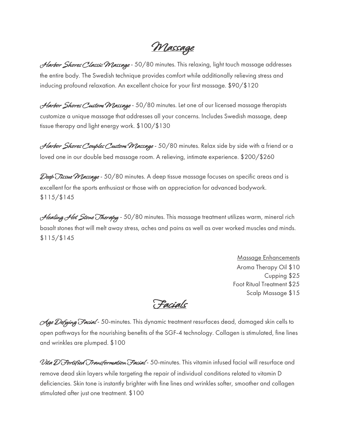Massage

Harbor Shores Classic Massage - 50/80 minutes. This relaxing, light touch massage addresses the entire body. The Swedish technique provides comfort while additionally relieving stress and inducing profound relaxation. An excellent choice for your first massage. \$90/\$120

Harbor Shores Custom Massage - 50/80 minutes. Let one of our licensed massage therapists customize a unique massage that addresses all your concerns. Includes Swedish massage, deep tissue therapy and light energy work. \$100/\$130

Harbor Shores Couples Custom Massage - 50/80 minutes. Relax side by side with a friend or a loved one in our double bed massage room. A relieving, intimate experience. \$200/\$260

Deep Tissue Massage - 50/80 minutes. A deep tissue massage focuses on specific areas and is excellent for the sports enthusiast or those with an appreciation for advanced bodywork. \$115/\$145

Healing Hot Stone Therapy - 50/80 minutes. This massage treatment utilizes warm, mineral rich basalt stones that will melt away stress, aches and pains as well as over worked muscles and minds. \$115/\$145

> Massage Enhancements Aroma Therapy Oil \$10 Cupping \$25 Foot Ritual Treatment \$25 Scalp Massage \$15

Facials

Age Defying Facial - 50-minutes. This dynamic treatment resurfaces dead, damaged skin cells to open pathways for the nourishing benefits of the SGF-4 technology. Collagen is stimulated, fine lines and wrinkles are plumped. \$100

Vita D Fortified Transformation Facial - 50-minutes. This vitamin infused facial will resurface and remove dead skin layers while targeting the repair of individual conditions related to vitamin D deficiencies. Skin tone is instantly brighter with fine lines and wrinkles softer, smoother and collagen stimulated after just one treatment. \$100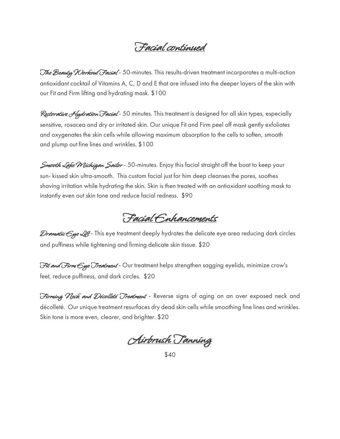### Facial continued

The Beauty Workout Facial - 50-minutes. This results-driven treatment incorporates a multi-action antioxidant cocktail of Vitamins A, C, D and E that are infused into the deeper layers of the skin with our Fit and Firm lifting and hydrating mask. \$100

R*estorative Aydration Facial* - 50 minutes. This treatment is designed for all skin types, especially sensitive, rosacea and dry or irritated skin. Our unique Fit and Firm peel off mask gently exfoliates and oxygenates the skin cells while allowing maximum absorption to the cells to soften, smooth and plump out fine lines and wrinkles. \$100

Smooth Lake Wichigan Sailor - 50-minutes. Enjoy this facial straight off the boat to keep your sun- kissed skin ultra-smooth. This custom facial just for him deep cleanses the pores, soothes shaving irritation while hydrating the skin. Skin is then treated with an antioxidant soothing mask to instantly even out skin tone and reduce facial redness. \$90

Facial Enhancements

Dramatic  $\epsilon$ ye Lift - This eye treatment deeply hydrates the delicate eye area reducing dark circles and puffiness while tightening and firming delicate skin tissue. \$20

Fit and Firm Cye Treatment - Our treatment helps strengthen sagging eyelids, minimize crow's feet, reduce puffiness, and dark circles. \$20

Firming Neck and Décolleté Treatment - Reverse signs of aging on an over exposed neck and décolleté. Our unique treatment resurfaces dry dead skin cells while smoothing fine lines and wrinkles. Skin tone is more even, clearer, and brighter. \$20

Airbrush Tanning

<sup>\$40</sup>